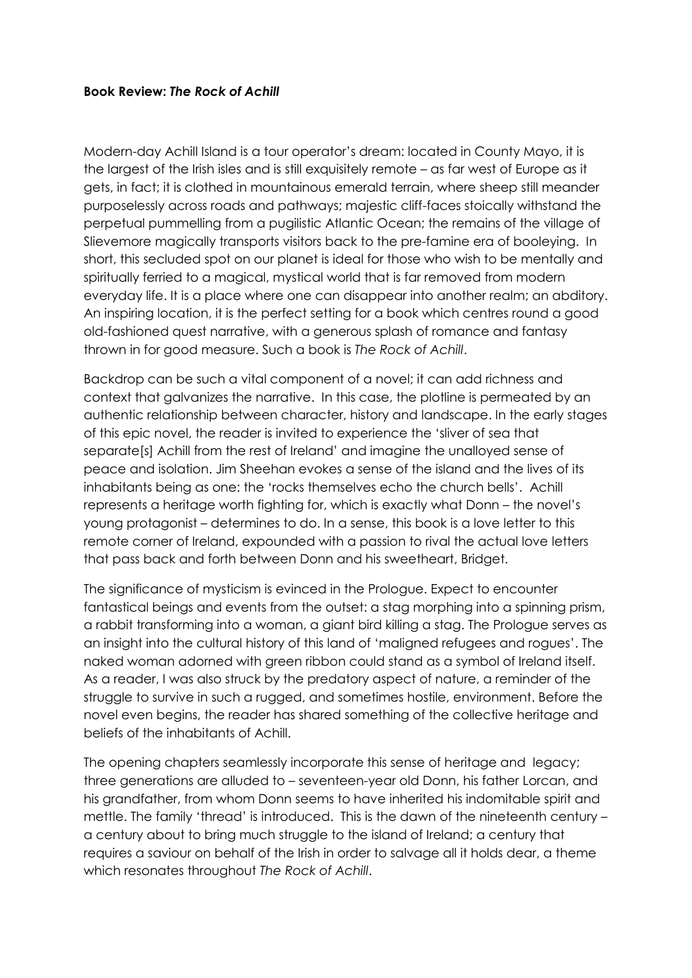## **Book Review:** *The Rock of Achill*

Modern-day Achill Island is a tour operator's dream: located in County Mayo, it is the largest of the Irish isles and is still exquisitely remote – as far west of Europe as it gets, in fact; it is clothed in mountainous emerald terrain, where sheep still meander purposelessly across roads and pathways; majestic cliff-faces stoically withstand the perpetual pummelling from a pugilistic Atlantic Ocean; the remains of the village of Slievemore magically transports visitors back to the pre-famine era of booleying. In short, this secluded spot on our planet is ideal for those who wish to be mentally and spiritually ferried to a magical, mystical world that is far removed from modern everyday life. It is a place where one can disappear into another realm; an abditory. An inspiring location, it is the perfect setting for a book which centres round a good old-fashioned quest narrative, with a generous splash of romance and fantasy thrown in for good measure. Such a book is *The Rock of Achill*.

Backdrop can be such a vital component of a novel; it can add richness and context that galvanizes the narrative. In this case, the plotline is permeated by an authentic relationship between character, history and landscape. In the early stages of this epic novel, the reader is invited to experience the 'sliver of sea that separate[s] Achill from the rest of Ireland' and imagine the unalloyed sense of peace and isolation. Jim Sheehan evokes a sense of the island and the lives of its inhabitants being as one: the 'rocks themselves echo the church bells'. Achill represents a heritage worth fighting for, which is exactly what Donn – the novel's young protagonist – determines to do. In a sense, this book is a love letter to this remote corner of Ireland, expounded with a passion to rival the actual love letters that pass back and forth between Donn and his sweetheart, Bridget.

The significance of mysticism is evinced in the Prologue. Expect to encounter fantastical beings and events from the outset: a stag morphing into a spinning prism, a rabbit transforming into a woman, a giant bird killing a stag. The Prologue serves as an insight into the cultural history of this land of 'maligned refugees and rogues'. The naked woman adorned with green ribbon could stand as a symbol of Ireland itself. As a reader, I was also struck by the predatory aspect of nature, a reminder of the struggle to survive in such a rugged, and sometimes hostile, environment. Before the novel even begins, the reader has shared something of the collective heritage and beliefs of the inhabitants of Achill.

The opening chapters seamlessly incorporate this sense of heritage and legacy; three generations are alluded to – seventeen-year old Donn, his father Lorcan, and his grandfather, from whom Donn seems to have inherited his indomitable spirit and mettle. The family 'thread' is introduced. This is the dawn of the nineteenth century – a century about to bring much struggle to the island of Ireland; a century that requires a saviour on behalf of the Irish in order to salvage all it holds dear, a theme which resonates throughout *The Rock of Achill*.